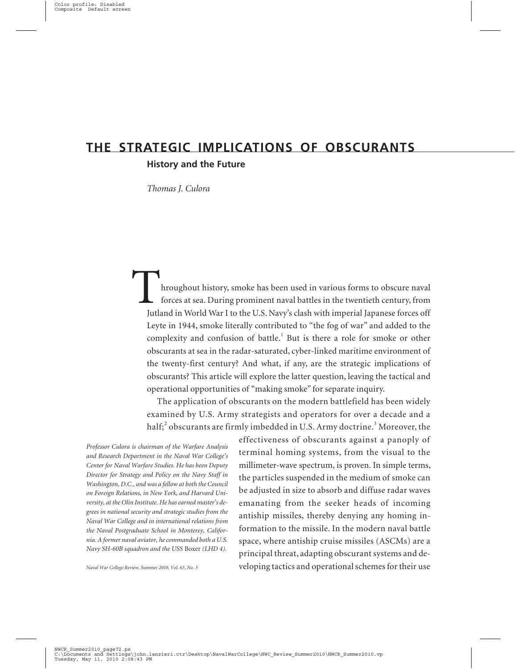# **THE STRATEGIC IMPLICATIONS OF OBSCURANTS**

# **History and the Future**

*Thomas J. Culora*

Throughout history, smoke has been used in various forms to obscure naval forces at sea. During prominent naval battles in the twentieth century, from Jutland in World War I to the U.S. Navy's clash with imperial Japanese forces off Leyte in 1944, smoke literally contributed to "the fog of war" and added to the complexity and confusion of battle.<sup>1</sup> But is there a role for smoke or other obscurants at sea in the radar-saturated, cyber-linked maritime environment of the twenty-first century? And what, if any, are the strategic implications of obscurants? This article will explore the latter question, leaving the tactical and operational opportunities of "making smoke" for separate inquiry.

The application of obscurants on the modern battlefield has been widely examined by U.S. Army strategists and operators for over a decade and a half; $^2$  obscurants are firmly imbedded in U.S. Army doctrine. $^3$  Moreover, the

*Professor Culora is chairman of the Warfare Analysis and Research Department in the Naval War College's Center for Naval Warfare Studies. He has been Deputy Director for Strategy and Policy on the Navy Staff in Washington, D.C., and was a fellow at both the Council on Foreign Relations, in New York, and Harvard University, at the Olin Institute. He has earned master's degrees in national security and strategic studies from the Naval War College and in international relations from the Naval Postgraduate School in Monterey, California. A former naval aviator, he commanded both a U.S. Navy SH-60B squadron and the USS* Boxer *(LHD 4).*

*Naval War College Review, Summer 2010, Vol. 63, No. 3*

effectiveness of obscurants against a panoply of terminal homing systems, from the visual to the millimeter-wave spectrum, is proven. In simple terms, the particles suspended in the medium of smoke can be adjusted in size to absorb and diffuse radar waves emanating from the seeker heads of incoming antiship missiles, thereby denying any homing information to the missile. In the modern naval battle space, where antiship cruise missiles (ASCMs) are a principal threat, adapting obscurant systems and developing tactics and operational schemes for their use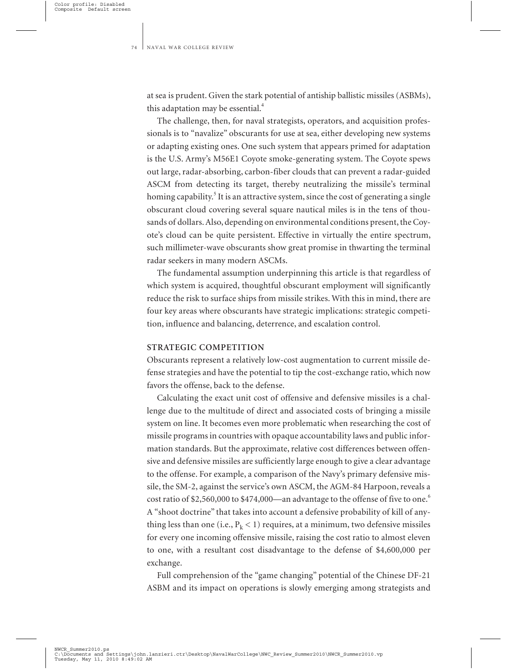at sea is prudent. Given the stark potential of antiship ballistic missiles (ASBMs), this adaptation may be essential. $4$ 

The challenge, then, for naval strategists, operators, and acquisition professionals is to "navalize" obscurants for use at sea, either developing new systems or adapting existing ones. One such system that appears primed for adaptation is the U.S. Army's M56E1 Coyote smoke-generating system. The Coyote spews out large, radar-absorbing, carbon-fiber clouds that can prevent a radar-guided ASCM from detecting its target, thereby neutralizing the missile's terminal homing capability.<sup>5</sup> It is an attractive system, since the cost of generating a single obscurant cloud covering several square nautical miles is in the tens of thousands of dollars. Also, depending on environmental conditions present, the Coyote's cloud can be quite persistent. Effective in virtually the entire spectrum, such millimeter-wave obscurants show great promise in thwarting the terminal radar seekers in many modern ASCMs.

The fundamental assumption underpinning this article is that regardless of which system is acquired, thoughtful obscurant employment will significantly reduce the risk to surface ships from missile strikes. With this in mind, there are four key areas where obscurants have strategic implications: strategic competition, influence and balancing, deterrence, and escalation control.

# **STRATEGIC COMPETITION**

Obscurants represent a relatively low-cost augmentation to current missile defense strategies and have the potential to tip the cost-exchange ratio, which now favors the offense, back to the defense.

Calculating the exact unit cost of offensive and defensive missiles is a challenge due to the multitude of direct and associated costs of bringing a missile system on line. It becomes even more problematic when researching the cost of missile programs in countries with opaque accountability laws and public information standards. But the approximate, relative cost differences between offensive and defensive missiles are sufficiently large enough to give a clear advantage to the offense. For example, a comparison of the Navy's primary defensive missile, the SM-2, against the service's own ASCM, the AGM-84 Harpoon, reveals a cost ratio of \$2,560,000 to \$474,000—an advantage to the offense of five to one.<sup>6</sup> A "shoot doctrine" that takes into account a defensive probability of kill of anything less than one (i.e.,  $P_k < 1$ ) requires, at a minimum, two defensive missiles for every one incoming offensive missile, raising the cost ratio to almost eleven to one, with a resultant cost disadvantage to the defense of \$4,600,000 per exchange.

Full comprehension of the "game changing" potential of the Chinese DF-21 ASBM and its impact on operations is slowly emerging among strategists and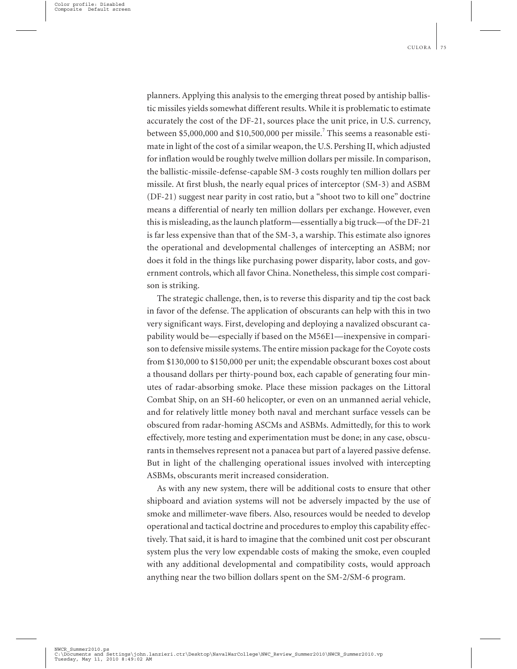planners. Applying this analysis to the emerging threat posed by antiship ballistic missiles yields somewhat different results. While it is problematic to estimate accurately the cost of the DF-21, sources place the unit price, in U.S. currency, between \$5,000,000 and \$10,500,000 per missile.<sup>7</sup> This seems a reasonable estimate in light of the cost of a similar weapon, the U.S. Pershing II, which adjusted for inflation would be roughly twelve million dollars per missile. In comparison, the ballistic-missile-defense-capable SM-3 costs roughly ten million dollars per missile. At first blush, the nearly equal prices of interceptor (SM-3) and ASBM (DF-21) suggest near parity in cost ratio, but a "shoot two to kill one" doctrine means a differential of nearly ten million dollars per exchange. However, even this is misleading, as the launch platform—essentially a big truck—of the DF-21 is far less expensive than that of the SM-3, a warship. This estimate also ignores the operational and developmental challenges of intercepting an ASBM; nor does it fold in the things like purchasing power disparity, labor costs, and government controls, which all favor China. Nonetheless, this simple cost comparison is striking.

The strategic challenge, then, is to reverse this disparity and tip the cost back in favor of the defense. The application of obscurants can help with this in two very significant ways. First, developing and deploying a navalized obscurant capability would be—especially if based on the M56E1—inexpensive in comparison to defensive missile systems. The entire mission package for the Coyote costs from \$130,000 to \$150,000 per unit; the expendable obscurant boxes cost about a thousand dollars per thirty-pound box, each capable of generating four minutes of radar-absorbing smoke. Place these mission packages on the Littoral Combat Ship, on an SH-60 helicopter, or even on an unmanned aerial vehicle, and for relatively little money both naval and merchant surface vessels can be obscured from radar-homing ASCMs and ASBMs. Admittedly, for this to work effectively, more testing and experimentation must be done; in any case, obscurants in themselves represent not a panacea but part of a layered passive defense. But in light of the challenging operational issues involved with intercepting ASBMs, obscurants merit increased consideration.

As with any new system, there will be additional costs to ensure that other shipboard and aviation systems will not be adversely impacted by the use of smoke and millimeter-wave fibers. Also, resources would be needed to develop operational and tactical doctrine and procedures to employ this capability effectively. That said, it is hard to imagine that the combined unit cost per obscurant system plus the very low expendable costs of making the smoke, even coupled with any additional developmental and compatibility costs, would approach anything near the two billion dollars spent on the SM-2/SM-6 program.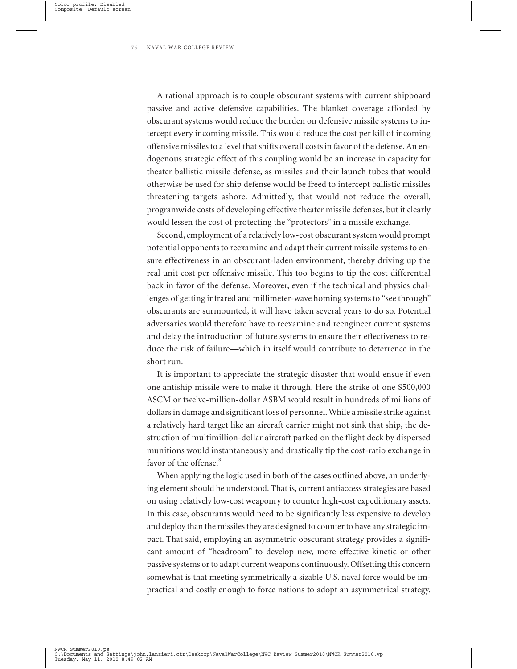A rational approach is to couple obscurant systems with current shipboard passive and active defensive capabilities. The blanket coverage afforded by obscurant systems would reduce the burden on defensive missile systems to intercept every incoming missile. This would reduce the cost per kill of incoming offensive missiles to a level that shifts overall costs in favor of the defense. An endogenous strategic effect of this coupling would be an increase in capacity for theater ballistic missile defense, as missiles and their launch tubes that would otherwise be used for ship defense would be freed to intercept ballistic missiles threatening targets ashore. Admittedly, that would not reduce the overall, programwide costs of developing effective theater missile defenses, but it clearly would lessen the cost of protecting the "protectors" in a missile exchange.

Second, employment of a relatively low-cost obscurant system would prompt potential opponents to reexamine and adapt their current missile systems to ensure effectiveness in an obscurant-laden environment, thereby driving up the real unit cost per offensive missile. This too begins to tip the cost differential back in favor of the defense. Moreover, even if the technical and physics challenges of getting infrared and millimeter-wave homing systems to "see through" obscurants are surmounted, it will have taken several years to do so. Potential adversaries would therefore have to reexamine and reengineer current systems and delay the introduction of future systems to ensure their effectiveness to reduce the risk of failure—which in itself would contribute to deterrence in the short run.

It is important to appreciate the strategic disaster that would ensue if even one antiship missile were to make it through. Here the strike of one \$500,000 ASCM or twelve-million-dollar ASBM would result in hundreds of millions of dollars in damage and significant loss of personnel. While a missile strike against a relatively hard target like an aircraft carrier might not sink that ship, the destruction of multimillion-dollar aircraft parked on the flight deck by dispersed munitions would instantaneously and drastically tip the cost-ratio exchange in favor of the offense.<sup>8</sup>

When applying the logic used in both of the cases outlined above, an underlying element should be understood. That is, current antiaccess strategies are based on using relatively low-cost weaponry to counter high-cost expeditionary assets. In this case, obscurants would need to be significantly less expensive to develop and deploy than the missiles they are designed to counter to have any strategic impact. That said, employing an asymmetric obscurant strategy provides a significant amount of "headroom" to develop new, more effective kinetic or other passive systems or to adapt current weapons continuously. Offsetting this concern somewhat is that meeting symmetrically a sizable U.S. naval force would be impractical and costly enough to force nations to adopt an asymmetrical strategy.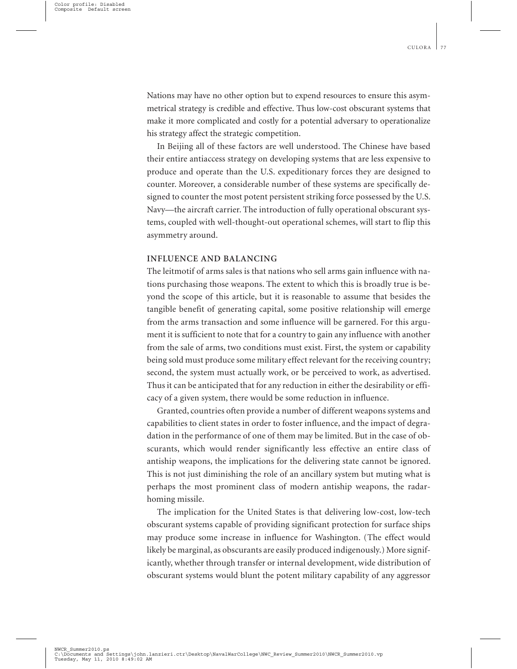Nations may have no other option but to expend resources to ensure this asymmetrical strategy is credible and effective. Thus low-cost obscurant systems that make it more complicated and costly for a potential adversary to operationalize his strategy affect the strategic competition.

In Beijing all of these factors are well understood. The Chinese have based their entire antiaccess strategy on developing systems that are less expensive to produce and operate than the U.S. expeditionary forces they are designed to counter. Moreover, a considerable number of these systems are specifically designed to counter the most potent persistent striking force possessed by the U.S. Navy—the aircraft carrier. The introduction of fully operational obscurant systems, coupled with well-thought-out operational schemes, will start to flip this asymmetry around.

# **INFLUENCE AND BALANCING**

The leitmotif of arms sales is that nations who sell arms gain influence with nations purchasing those weapons. The extent to which this is broadly true is beyond the scope of this article, but it is reasonable to assume that besides the tangible benefit of generating capital, some positive relationship will emerge from the arms transaction and some influence will be garnered. For this argument it is sufficient to note that for a country to gain any influence with another from the sale of arms, two conditions must exist. First, the system or capability being sold must produce some military effect relevant for the receiving country; second, the system must actually work, or be perceived to work, as advertised. Thus it can be anticipated that for any reduction in either the desirability or efficacy of a given system, there would be some reduction in influence.

Granted, countries often provide a number of different weapons systems and capabilities to client states in order to foster influence, and the impact of degradation in the performance of one of them may be limited. But in the case of obscurants, which would render significantly less effective an entire class of antiship weapons, the implications for the delivering state cannot be ignored. This is not just diminishing the role of an ancillary system but muting what is perhaps the most prominent class of modern antiship weapons, the radarhoming missile.

The implication for the United States is that delivering low-cost, low-tech obscurant systems capable of providing significant protection for surface ships may produce some increase in influence for Washington. (The effect would likely be marginal, as obscurants are easily produced indigenously.) More significantly, whether through transfer or internal development, wide distribution of obscurant systems would blunt the potent military capability of any aggressor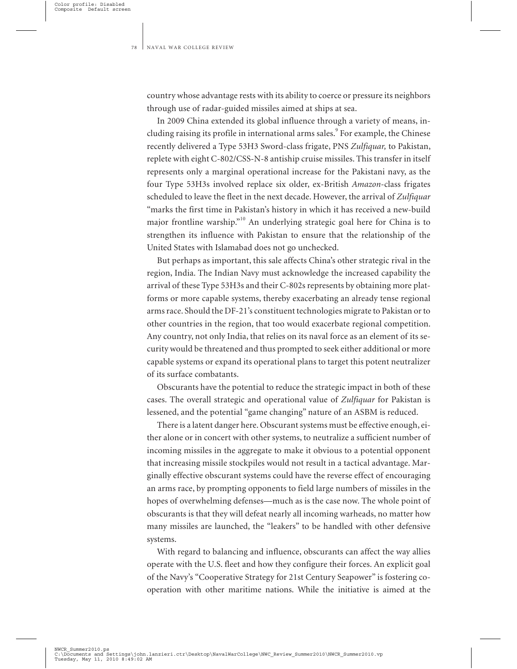country whose advantage rests with its ability to coerce or pressure its neighbors through use of radar-guided missiles aimed at ships at sea.

In 2009 China extended its global influence through a variety of means, including raising its profile in international arms sales.<sup>9</sup> For example, the Chinese recently delivered a Type 53H3 Sword-class frigate, PNS *Zulfiquar,* to Pakistan, replete with eight C-802/CSS-N-8 antiship cruise missiles. This transfer in itself represents only a marginal operational increase for the Pakistani navy, as the four Type 53H3s involved replace six older, ex-British *Amazon*-class frigates scheduled to leave the fleet in the next decade. However, the arrival of *Zulfiquar* "marks the first time in Pakistan's history in which it has received a new-build major frontline warship."<sup>10</sup> An underlying strategic goal here for China is to strengthen its influence with Pakistan to ensure that the relationship of the United States with Islamabad does not go unchecked.

But perhaps as important, this sale affects China's other strategic rival in the region, India. The Indian Navy must acknowledge the increased capability the arrival of these Type 53H3s and their C-802s represents by obtaining more platforms or more capable systems, thereby exacerbating an already tense regional arms race. Should the DF-21's constituent technologies migrate to Pakistan or to other countries in the region, that too would exacerbate regional competition. Any country, not only India, that relies on its naval force as an element of its security would be threatened and thus prompted to seek either additional or more capable systems or expand its operational plans to target this potent neutralizer of its surface combatants.

Obscurants have the potential to reduce the strategic impact in both of these cases. The overall strategic and operational value of *Zulfiquar* for Pakistan is lessened, and the potential "game changing" nature of an ASBM is reduced.

There is a latent danger here. Obscurant systems must be effective enough, either alone or in concert with other systems, to neutralize a sufficient number of incoming missiles in the aggregate to make it obvious to a potential opponent that increasing missile stockpiles would not result in a tactical advantage. Marginally effective obscurant systems could have the reverse effect of encouraging an arms race, by prompting opponents to field large numbers of missiles in the hopes of overwhelming defenses—much as is the case now. The whole point of obscurants is that they will defeat nearly all incoming warheads, no matter how many missiles are launched, the "leakers" to be handled with other defensive systems.

With regard to balancing and influence, obscurants can affect the way allies operate with the U.S. fleet and how they configure their forces. An explicit goal of the Navy's "Cooperative Strategy for 21st Century Seapower" is fostering cooperation with other maritime nations. While the initiative is aimed at the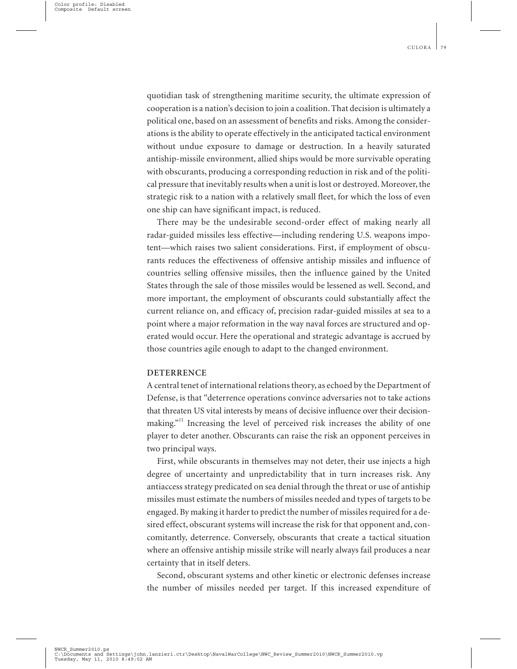quotidian task of strengthening maritime security, the ultimate expression of cooperation is a nation's decision to join a coalition. That decision is ultimately a political one, based on an assessment of benefits and risks. Among the considerations is the ability to operate effectively in the anticipated tactical environment without undue exposure to damage or destruction. In a heavily saturated antiship-missile environment, allied ships would be more survivable operating with obscurants, producing a corresponding reduction in risk and of the political pressure that inevitably results when a unit is lost or destroyed. Moreover, the strategic risk to a nation with a relatively small fleet, for which the loss of even one ship can have significant impact, is reduced.

There may be the undesirable second-order effect of making nearly all radar-guided missiles less effective—including rendering U.S. weapons impotent—which raises two salient considerations. First, if employment of obscurants reduces the effectiveness of offensive antiship missiles and influence of countries selling offensive missiles, then the influence gained by the United States through the sale of those missiles would be lessened as well. Second, and more important, the employment of obscurants could substantially affect the current reliance on, and efficacy of, precision radar-guided missiles at sea to a point where a major reformation in the way naval forces are structured and operated would occur. Here the operational and strategic advantage is accrued by those countries agile enough to adapt to the changed environment.

#### **DETERRENCE**

A central tenet of international relations theory, as echoed by the Department of Defense, is that "deterrence operations convince adversaries not to take actions that threaten US vital interests by means of decisive influence over their decisionmaking."<sup>11</sup> Increasing the level of perceived risk increases the ability of one player to deter another. Obscurants can raise the risk an opponent perceives in two principal ways.

First, while obscurants in themselves may not deter, their use injects a high degree of uncertainty and unpredictability that in turn increases risk. Any antiaccess strategy predicated on sea denial through the threat or use of antiship missiles must estimate the numbers of missiles needed and types of targets to be engaged. By making it harder to predict the number of missiles required for a desired effect, obscurant systems will increase the risk for that opponent and, concomitantly, deterrence. Conversely, obscurants that create a tactical situation where an offensive antiship missile strike will nearly always fail produces a near certainty that in itself deters.

Second, obscurant systems and other kinetic or electronic defenses increase the number of missiles needed per target. If this increased expenditure of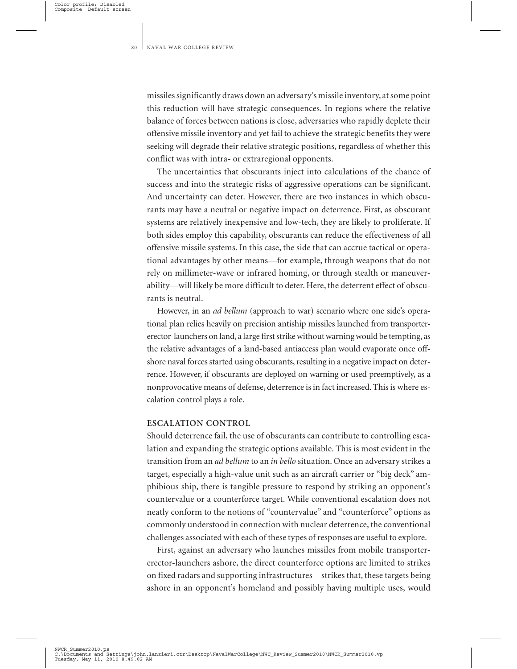missiles significantly draws down an adversary's missile inventory, at some point this reduction will have strategic consequences. In regions where the relative balance of forces between nations is close, adversaries who rapidly deplete their offensive missile inventory and yet fail to achieve the strategic benefits they were seeking will degrade their relative strategic positions, regardless of whether this conflict was with intra- or extraregional opponents.

The uncertainties that obscurants inject into calculations of the chance of success and into the strategic risks of aggressive operations can be significant. And uncertainty can deter. However, there are two instances in which obscurants may have a neutral or negative impact on deterrence. First, as obscurant systems are relatively inexpensive and low-tech, they are likely to proliferate. If both sides employ this capability, obscurants can reduce the effectiveness of all offensive missile systems. In this case, the side that can accrue tactical or operational advantages by other means—for example, through weapons that do not rely on millimeter-wave or infrared homing, or through stealth or maneuverability—will likely be more difficult to deter. Here, the deterrent effect of obscurants is neutral.

However, in an *ad bellum* (approach to war) scenario where one side's operational plan relies heavily on precision antiship missiles launched from transportererector-launchers on land, a large first strike without warning would be tempting, as the relative advantages of a land-based antiaccess plan would evaporate once offshore naval forces started using obscurants, resulting in a negative impact on deterrence. However, if obscurants are deployed on warning or used preemptively, as a nonprovocative means of defense, deterrence is in fact increased. This is where escalation control plays a role.

### **ESCALATION CONTROL**

Should deterrence fail, the use of obscurants can contribute to controlling escalation and expanding the strategic options available. This is most evident in the transition from an *ad bellum* to an *in bello* situation. Once an adversary strikes a target, especially a high-value unit such as an aircraft carrier or "big deck" amphibious ship, there is tangible pressure to respond by striking an opponent's countervalue or a counterforce target. While conventional escalation does not neatly conform to the notions of "countervalue" and "counterforce" options as commonly understood in connection with nuclear deterrence, the conventional challenges associated with each of these types of responses are useful to explore.

First, against an adversary who launches missiles from mobile transportererector-launchers ashore, the direct counterforce options are limited to strikes on fixed radars and supporting infrastructures—strikes that, these targets being ashore in an opponent's homeland and possibly having multiple uses, would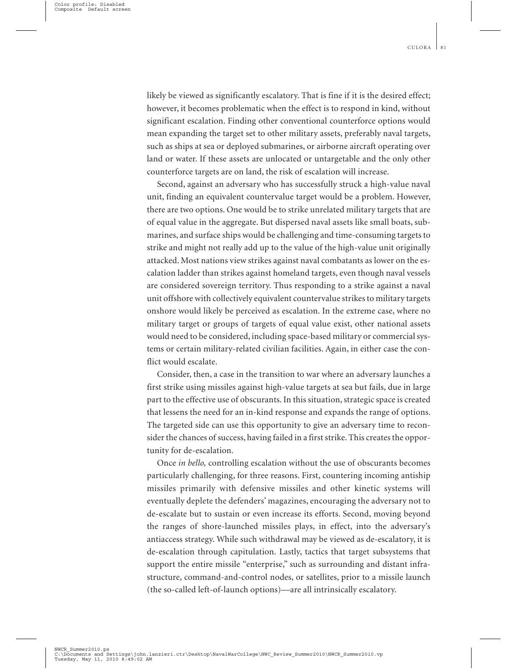likely be viewed as significantly escalatory. That is fine if it is the desired effect; however, it becomes problematic when the effect is to respond in kind, without significant escalation. Finding other conventional counterforce options would mean expanding the target set to other military assets, preferably naval targets, such as ships at sea or deployed submarines, or airborne aircraft operating over land or water. If these assets are unlocated or untargetable and the only other counterforce targets are on land, the risk of escalation will increase.

Second, against an adversary who has successfully struck a high-value naval unit, finding an equivalent countervalue target would be a problem. However, there are two options. One would be to strike unrelated military targets that are of equal value in the aggregate. But dispersed naval assets like small boats, submarines, and surface ships would be challenging and time-consuming targets to strike and might not really add up to the value of the high-value unit originally attacked. Most nations view strikes against naval combatants as lower on the escalation ladder than strikes against homeland targets, even though naval vessels are considered sovereign territory. Thus responding to a strike against a naval unit offshore with collectively equivalent countervalue strikes to military targets onshore would likely be perceived as escalation. In the extreme case, where no military target or groups of targets of equal value exist, other national assets would need to be considered, including space-based military or commercial systems or certain military-related civilian facilities. Again, in either case the conflict would escalate.

Consider, then, a case in the transition to war where an adversary launches a first strike using missiles against high-value targets at sea but fails, due in large part to the effective use of obscurants. In this situation, strategic space is created that lessens the need for an in-kind response and expands the range of options. The targeted side can use this opportunity to give an adversary time to reconsider the chances of success, having failed in a first strike. This creates the opportunity for de-escalation.

Once *in bello,* controlling escalation without the use of obscurants becomes particularly challenging, for three reasons. First, countering incoming antiship missiles primarily with defensive missiles and other kinetic systems will eventually deplete the defenders' magazines, encouraging the adversary not to de-escalate but to sustain or even increase its efforts. Second, moving beyond the ranges of shore-launched missiles plays, in effect, into the adversary's antiaccess strategy. While such withdrawal may be viewed as de-escalatory, it is de-escalation through capitulation. Lastly, tactics that target subsystems that support the entire missile "enterprise," such as surrounding and distant infrastructure, command-and-control nodes, or satellites, prior to a missile launch (the so-called left-of-launch options)—are all intrinsically escalatory.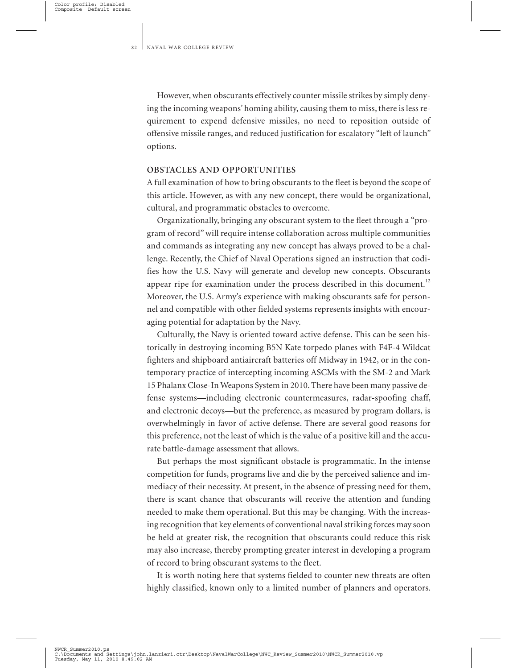However, when obscurants effectively counter missile strikes by simply denying the incoming weapons' homing ability, causing them to miss, there is less requirement to expend defensive missiles, no need to reposition outside of offensive missile ranges, and reduced justification for escalatory "left of launch" options.

#### **OBSTACLES AND OPPORTUNITIES**

A full examination of how to bring obscurants to the fleet is beyond the scope of this article. However, as with any new concept, there would be organizational, cultural, and programmatic obstacles to overcome.

Organizationally, bringing any obscurant system to the fleet through a "program of record" will require intense collaboration across multiple communities and commands as integrating any new concept has always proved to be a challenge. Recently, the Chief of Naval Operations signed an instruction that codifies how the U.S. Navy will generate and develop new concepts. Obscurants appear ripe for examination under the process described in this document.<sup>12</sup> Moreover, the U.S. Army's experience with making obscurants safe for personnel and compatible with other fielded systems represents insights with encouraging potential for adaptation by the Navy.

Culturally, the Navy is oriented toward active defense. This can be seen historically in destroying incoming B5N Kate torpedo planes with F4F-4 Wildcat fighters and shipboard antiaircraft batteries off Midway in 1942, or in the contemporary practice of intercepting incoming ASCMs with the SM-2 and Mark 15 Phalanx Close-In Weapons System in 2010. There have been many passive defense systems—including electronic countermeasures, radar-spoofing chaff, and electronic decoys—but the preference, as measured by program dollars, is overwhelmingly in favor of active defense. There are several good reasons for this preference, not the least of which is the value of a positive kill and the accurate battle-damage assessment that allows.

But perhaps the most significant obstacle is programmatic. In the intense competition for funds, programs live and die by the perceived salience and immediacy of their necessity. At present, in the absence of pressing need for them, there is scant chance that obscurants will receive the attention and funding needed to make them operational. But this may be changing. With the increasing recognition that key elements of conventional naval striking forces may soon be held at greater risk, the recognition that obscurants could reduce this risk may also increase, thereby prompting greater interest in developing a program of record to bring obscurant systems to the fleet.

It is worth noting here that systems fielded to counter new threats are often highly classified, known only to a limited number of planners and operators.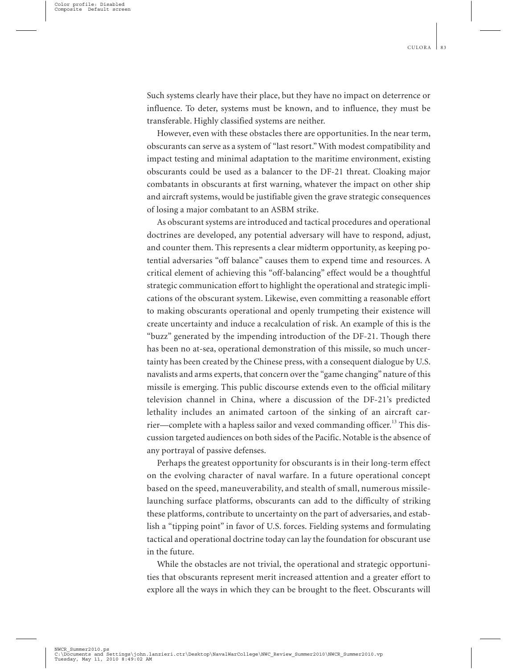Such systems clearly have their place, but they have no impact on deterrence or influence. To deter, systems must be known, and to influence, they must be transferable. Highly classified systems are neither.

However, even with these obstacles there are opportunities. In the near term, obscurants can serve as a system of "last resort." With modest compatibility and impact testing and minimal adaptation to the maritime environment, existing obscurants could be used as a balancer to the DF-21 threat. Cloaking major combatants in obscurants at first warning, whatever the impact on other ship and aircraft systems, would be justifiable given the grave strategic consequences of losing a major combatant to an ASBM strike.

As obscurant systems are introduced and tactical procedures and operational doctrines are developed, any potential adversary will have to respond, adjust, and counter them. This represents a clear midterm opportunity, as keeping potential adversaries "off balance" causes them to expend time and resources. A critical element of achieving this "off-balancing" effect would be a thoughtful strategic communication effort to highlight the operational and strategic implications of the obscurant system. Likewise, even committing a reasonable effort to making obscurants operational and openly trumpeting their existence will create uncertainty and induce a recalculation of risk. An example of this is the "buzz" generated by the impending introduction of the DF-21. Though there has been no at-sea, operational demonstration of this missile, so much uncertainty has been created by the Chinese press, with a consequent dialogue by U.S. navalists and arms experts, that concern over the "game changing" nature of this missile is emerging. This public discourse extends even to the official military television channel in China, where a discussion of the DF-21's predicted lethality includes an animated cartoon of the sinking of an aircraft carrier—complete with a hapless sailor and vexed commanding officer.<sup>13</sup> This discussion targeted audiences on both sides of the Pacific. Notable is the absence of any portrayal of passive defenses.

Perhaps the greatest opportunity for obscurants is in their long-term effect on the evolving character of naval warfare. In a future operational concept based on the speed, maneuverability, and stealth of small, numerous missilelaunching surface platforms, obscurants can add to the difficulty of striking these platforms, contribute to uncertainty on the part of adversaries, and establish a "tipping point" in favor of U.S. forces. Fielding systems and formulating tactical and operational doctrine today can lay the foundation for obscurant use in the future.

While the obstacles are not trivial, the operational and strategic opportunities that obscurants represent merit increased attention and a greater effort to explore all the ways in which they can be brought to the fleet. Obscurants will